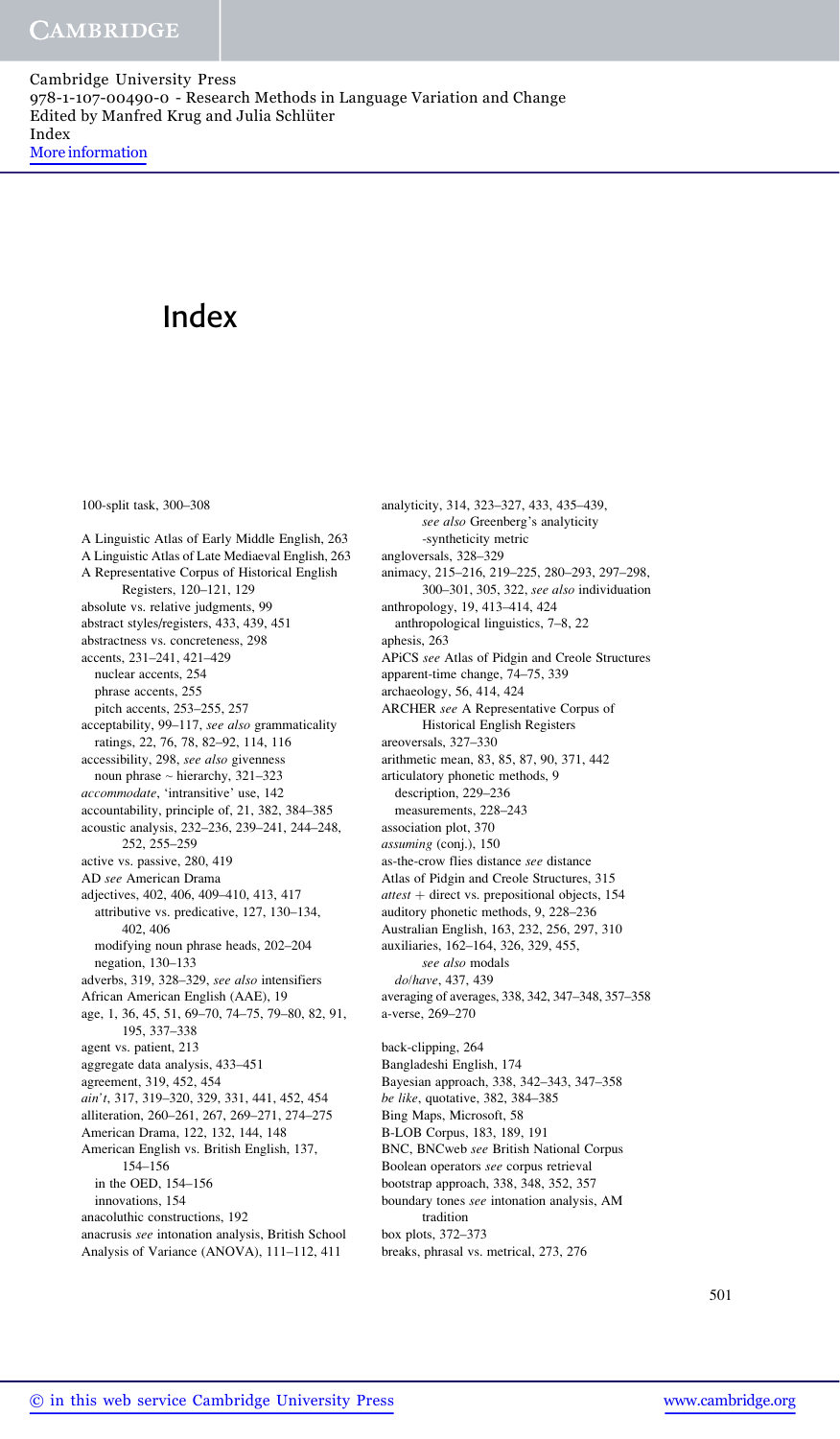100-split task, 300–308

A Linguistic Atlas of Early Middle English, 263 A Linguistic Atlas of Late Mediaeval English, 263 A Representative Corpus of Historical English Registers, 120–121, 129 absolute vs. relative judgments, 99 abstract styles/registers, 433, 439, 451 abstractness vs. concreteness, 298 accents, 231–241, 421–429 nuclear accents, 254 phrase accents, 255 pitch accents, 253–255, 257 acceptability, 99-117, see also grammaticality ratings, 22, 76, 78, 82–92, 114, 116 accessibility, 298, see also givenness noun phrase ~ hierarchy, 321–323 accommodate, 'intransitive' use, 142 accountability, principle of, 21, 382, 384–385 acoustic analysis, 232–236, 239–241, 244–248, 252, 255–259 active vs. passive, 280, 419 AD see American Drama adjectives, 402, 406, 409–410, 413, 417 attributive vs. predicative, 127, 130–134, 402, 406 modifying noun phrase heads, 202–204 negation, 130–133 adverbs, 319, 328–329, see also intensifiers African American English (AAE), 19 age, 1, 36, 45, 51, 69–70, 74–75, 79–80, 82, 91, 195, 337–338 agent vs. patient, 213 aggregate data analysis, 433–451 agreement, 319, 452, 454 ain't, 317, 319–320, 329, 331, 441, 452, 454 alliteration, 260–261, 267, 269–271, 274–275 American Drama, 122, 132, 144, 148 American English vs. British English, 137, 154–156 in the OED, 154–156 innovations, 154 anacoluthic constructions, 192 anacrusis see intonation analysis, British School Analysis of Variance (ANOVA), 111–112, 411

analyticity, 314, 323–327, 433, 435–439, see also Greenberg's analyticity -syntheticity metric angloversals, 328–329 animacy, 215–216, 219–225, 280–293, 297–298, 300–301, 305, 322, see also individuation anthropology, 19, 413–414, 424 anthropological linguistics, 7–8, 22 aphesis, 263 APiCS see Atlas of Pidgin and Creole Structures apparent-time change, 74–75, 339 archaeology, 56, 414, 424 ARCHER see A Representative Corpus of Historical English Registers areoversals, 327–330 arithmetic mean, 83, 85, 87, 90, 371, 442 articulatory phonetic methods, 9 description, 229–236 measurements, 228–243 association plot, 370 assuming (conj.), 150 as-the-crow flies distance see distance Atlas of Pidgin and Creole Structures, 315  $attest + direct vs. prepositional objects, 154$ auditory phonetic methods, 9, 228–236 Australian English, 163, 232, 256, 297, 310 auxiliaries, 162–164, 326, 329, 455, see also modals do/have, 437, 439 averaging of averages, 338, 342, 347–348, 357–358 a-verse, 269–270 back-clipping, 264 Bangladeshi English, 174 Bayesian approach, 338, 342–343, 347–358 be like, quotative, 382, 384–385 Bing Maps, Microsoft, 58 B-LOB Corpus, 183, 189, 191 BNC, BNCweb see British National Corpus Boolean operators see corpus retrieval bootstrap approach, 338, 348, 352, 357 boundary tones see intonation analysis, AM tradition box plots, 372–373 breaks, phrasal vs. metrical, 273, 276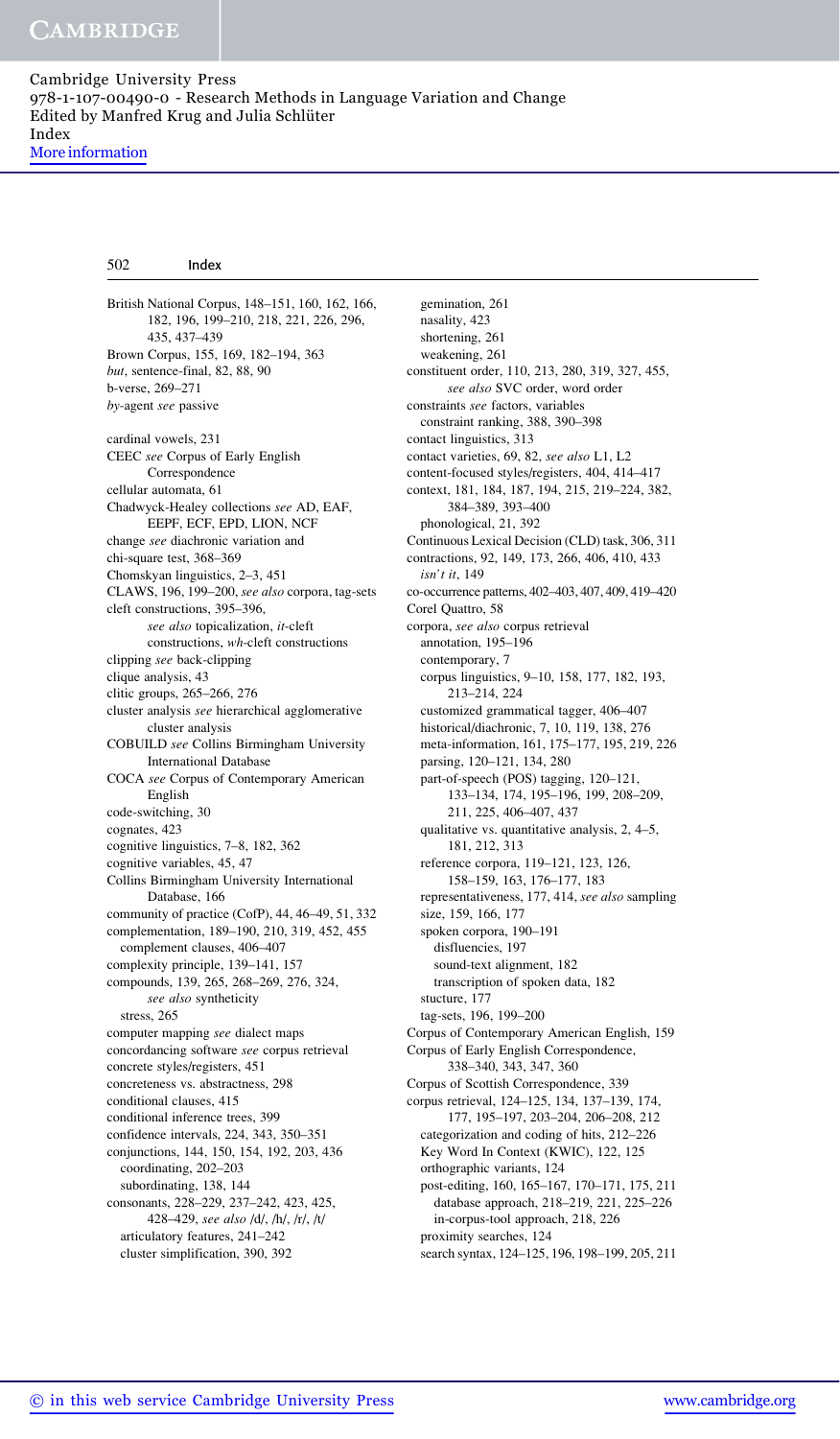British National Corpus, 148–151, 160, 162, 166, 182, 196, 199–210, 218, 221, 226, 296, 435, 437–439 Brown Corpus, 155, 169, 182–194, 363 but, sentence-final, 82, 88, 90 b-verse, 269–271 by-agent see passive cardinal vowels, 231 CEEC see Corpus of Early English Correspondence cellular automata, 61 Chadwyck-Healey collections see AD, EAF, EEPF, ECF, EPD, LION, NCF change see diachronic variation and chi-square test, 368–369 Chomskyan linguistics, 2–3, 451 CLAWS, 196, 199–200, see also corpora, tag-sets cleft constructions, 395–396, see also topicalization, it-cleft constructions, wh-cleft constructions clipping see back-clipping clique analysis, 43 clitic groups, 265–266, 276 cluster analysis see hierarchical agglomerative cluster analysis COBUILD see Collins Birmingham University International Database COCA see Corpus of Contemporary American English code-switching, 30 cognates, 423 cognitive linguistics, 7–8, 182, 362 cognitive variables, 45, 47 Collins Birmingham University International Database, 166 community of practice (CofP), 44, 46–49, 51, 332 complementation, 189–190, 210, 319, 452, 455 complement clauses, 406–407 complexity principle, 139–141, 157 compounds, 139, 265, 268–269, 276, 324, see also syntheticity stress, 265 computer mapping see dialect maps concordancing software see corpus retrieval concrete styles/registers, 451 concreteness vs. abstractness, 298 conditional clauses, 415 conditional inference trees, 399 confidence intervals, 224, 343, 350–351 conjunctions, 144, 150, 154, 192, 203, 436 coordinating, 202–203 subordinating, 138, 144 consonants, 228–229, 237–242, 423, 425, 428–429, see also /d/, /h/, /r/, /t/ articulatory features, 241–242 cluster simplification, 390, 392 gemination, 261 nasality, 423 shortening, 261 weakening, 261 constituent order, 110, 213, 280, 319, 327, 455, see also SVC order, word order constraints see factors, variables constraint ranking, 388, 390–398 contact linguistics, 313 contact varieties, 69, 82, see also L1, L2 content-focused styles/registers, 404, 414–417 context, 181, 184, 187, 194, 215, 219–224, 382, 384–389, 393–400 phonological, 21, 392 Continuous Lexical Decision (CLD) task, 306, 311 contractions, 92, 149, 173, 266, 406, 410, 433 isn't it, 149 co-occurrence patterns, 402–403, 407, 409, 419–420 Corel Quattro, 58 corpora, see also corpus retrieval annotation, 195–196 contemporary, 7 corpus linguistics, 9–10, 158, 177, 182, 193, 213–214, 224 customized grammatical tagger, 406–407 historical/diachronic, 7, 10, 119, 138, 276 meta-information, 161, 175–177, 195, 219, 226 parsing, 120–121, 134, 280 part-of-speech (POS) tagging, 120–121, 133–134, 174, 195–196, 199, 208–209, 211, 225, 406–407, 437 qualitative vs. quantitative analysis, 2, 4–5, 181, 212, 313 reference corpora, 119–121, 123, 126, 158–159, 163, 176–177, 183 representativeness, 177, 414, see also sampling size, 159, 166, 177 spoken corpora, 190–191 disfluencies, 197 sound-text alignment, 182 transcription of spoken data, 182 stucture, 177 tag-sets, 196, 199–200 Corpus of Contemporary American English, 159 Corpus of Early English Correspondence, 338–340, 343, 347, 360 Corpus of Scottish Correspondence, 339 corpus retrieval, 124–125, 134, 137–139, 174, 177, 195–197, 203–204, 206–208, 212 categorization and coding of hits, 212–226 Key Word In Context (KWIC), 122, 125 orthographic variants, 124 post-editing, 160, 165–167, 170–171, 175, 211 database approach, 218–219, 221, 225–226 in-corpus-tool approach, 218, 226 proximity searches, 124 search syntax, 124–125, 196, 198–199, 205, 211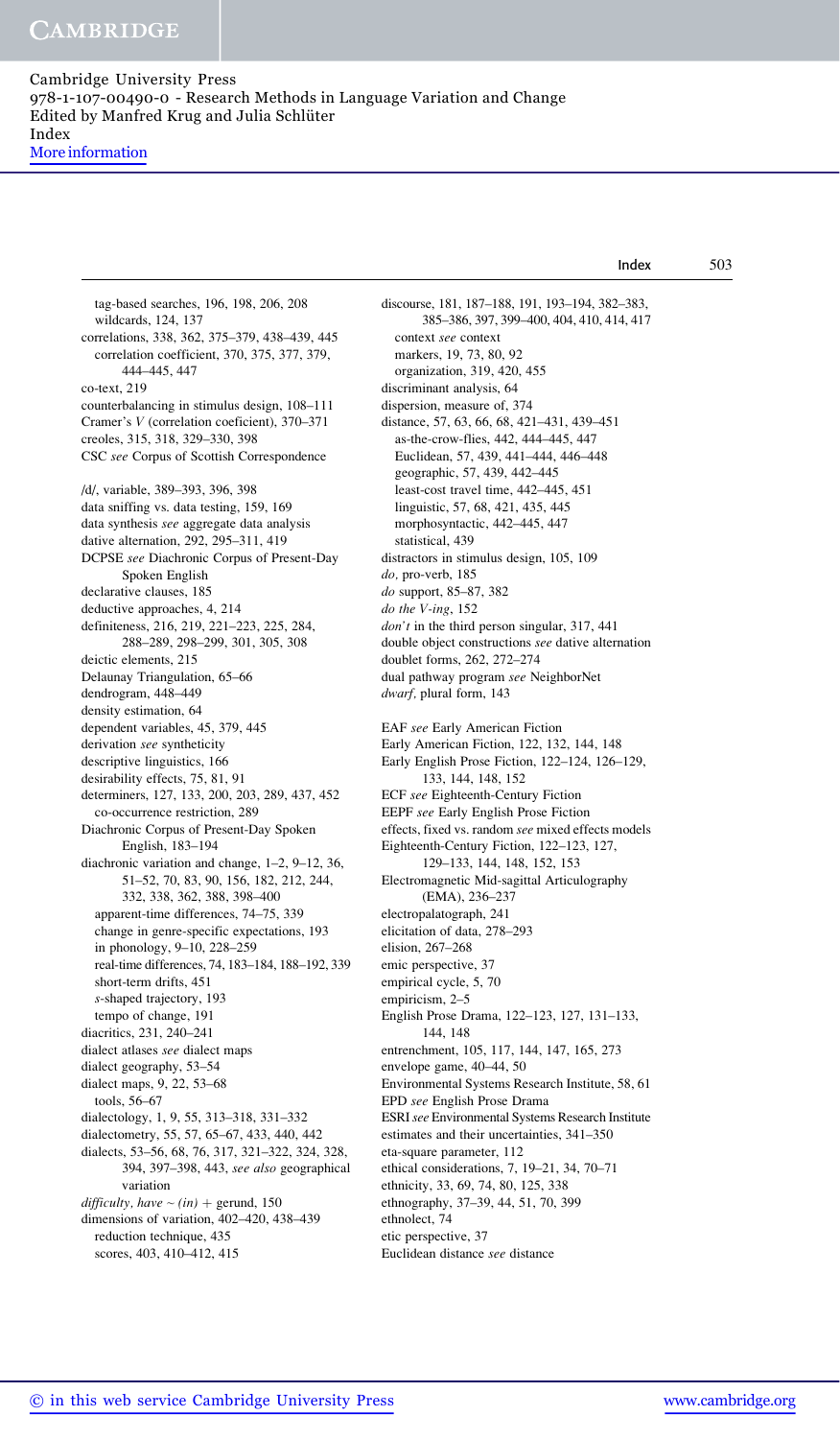More information

tag-based searches, 196, 198, 206, 208 wildcards, 124, 137 correlations, 338, 362, 375–379, 438–439, 445 correlation coefficient, 370, 375, 377, 379, 444–445, 447 co-text, 219 counterbalancing in stimulus design, 108–111 Cramer's V (correlation coeficient), 370–371 creoles, 315, 318, 329–330, 398 CSC see Corpus of Scottish Correspondence /d/, variable, 389–393, 396, 398 data sniffing vs. data testing, 159, 169 data synthesis see aggregate data analysis dative alternation, 292, 295–311, 419 DCPSE see Diachronic Corpus of Present-Day Spoken English declarative clauses, 185 deductive approaches, 4, 214 definiteness, 216, 219, 221–223, 225, 284, 288–289, 298–299, 301, 305, 308 deictic elements, 215 Delaunay Triangulation, 65–66 dendrogram, 448–449 density estimation, 64 dependent variables, 45, 379, 445 derivation see syntheticity descriptive linguistics, 166 desirability effects, 75, 81, 91 determiners, 127, 133, 200, 203, 289, 437, 452 co-occurrence restriction, 289 Diachronic Corpus of Present-Day Spoken English, 183–194 diachronic variation and change, 1–2, 9–12, 36, 51–52, 70, 83, 90, 156, 182, 212, 244, 332, 338, 362, 388, 398–400 apparent-time differences, 74–75, 339 change in genre-specific expectations, 193 in phonology, 9–10, 228–259 real-time differences, 74, 183–184, 188–192, 339 short-term drifts, 451 s-shaped trajectory, 193 tempo of change, 191 diacritics, 231, 240–241 dialect atlases see dialect maps dialect geography, 53–54 dialect maps, 9, 22, 53–68 tools, 56–67 dialectology, 1, 9, 55, 313–318, 331–332 dialectometry, 55, 57, 65–67, 433, 440, 442 dialects, 53–56, 68, 76, 317, 321–322, 324, 328, 394, 397–398, 443, see also geographical variation difficulty, have  $\sim (in) +$  gerund, 150 dimensions of variation, 402–420, 438–439 reduction technique, 435 scores, 403, 410–412, 415 discourse, 181, 187–188, 191, 193–194, 382–383, 385–386, 397, 399–400, 404, 410, 414, 417 context see context markers, 19, 73, 80, 92 organization, 319, 420, 455 discriminant analysis, 64 dispersion, measure of, 374 distance, 57, 63, 66, 68, 421–431, 439–451 as-the-crow-flies, 442, 444–445, 447 Euclidean, 57, 439, 441–444, 446–448 geographic, 57, 439, 442–445 least-cost travel time, 442–445, 451 linguistic, 57, 68, 421, 435, 445 morphosyntactic, 442–445, 447 statistical, 439 distractors in stimulus design, 105, 109 do, pro-verb, 185 do support, 85–87, 382 do the V-ing, 152 don't in the third person singular, 317, 441 double object constructions see dative alternation doublet forms, 262, 272–274 dual pathway program see NeighborNet dwarf, plural form, 143 EAF see Early American Fiction Early American Fiction, 122, 132, 144, 148 Early English Prose Fiction, 122–124, 126–129, 133, 144, 148, 152 ECF see Eighteenth-Century Fiction EEPF see Early English Prose Fiction effects, fixed vs. random see mixed effects models Eighteenth-Century Fiction, 122–123, 127, 129–133, 144, 148, 152, 153 Electromagnetic Mid-sagittal Articulography (EMA), 236–237 electropalatograph, 241 elicitation of data, 278–293 elision, 267–268 emic perspective, 37 empirical cycle, 5, 70 empiricism, 2–5 English Prose Drama, 122–123, 127, 131–133, 144, 148 entrenchment, 105, 117, 144, 147, 165, 273 envelope game, 40–44, 50 Environmental Systems Research Institute, 58, 61 EPD see English Prose Drama ESRIsee Environmental Systems Research Institute estimates and their uncertainties, 341–350 eta-square parameter, 112 ethical considerations, 7, 19–21, 34, 70–71 ethnicity, 33, 69, 74, 80, 125, 338 ethnography, 37–39, 44, 51, 70, 399 ethnolect, 74 etic perspective, 37 Euclidean distance see distance Index 503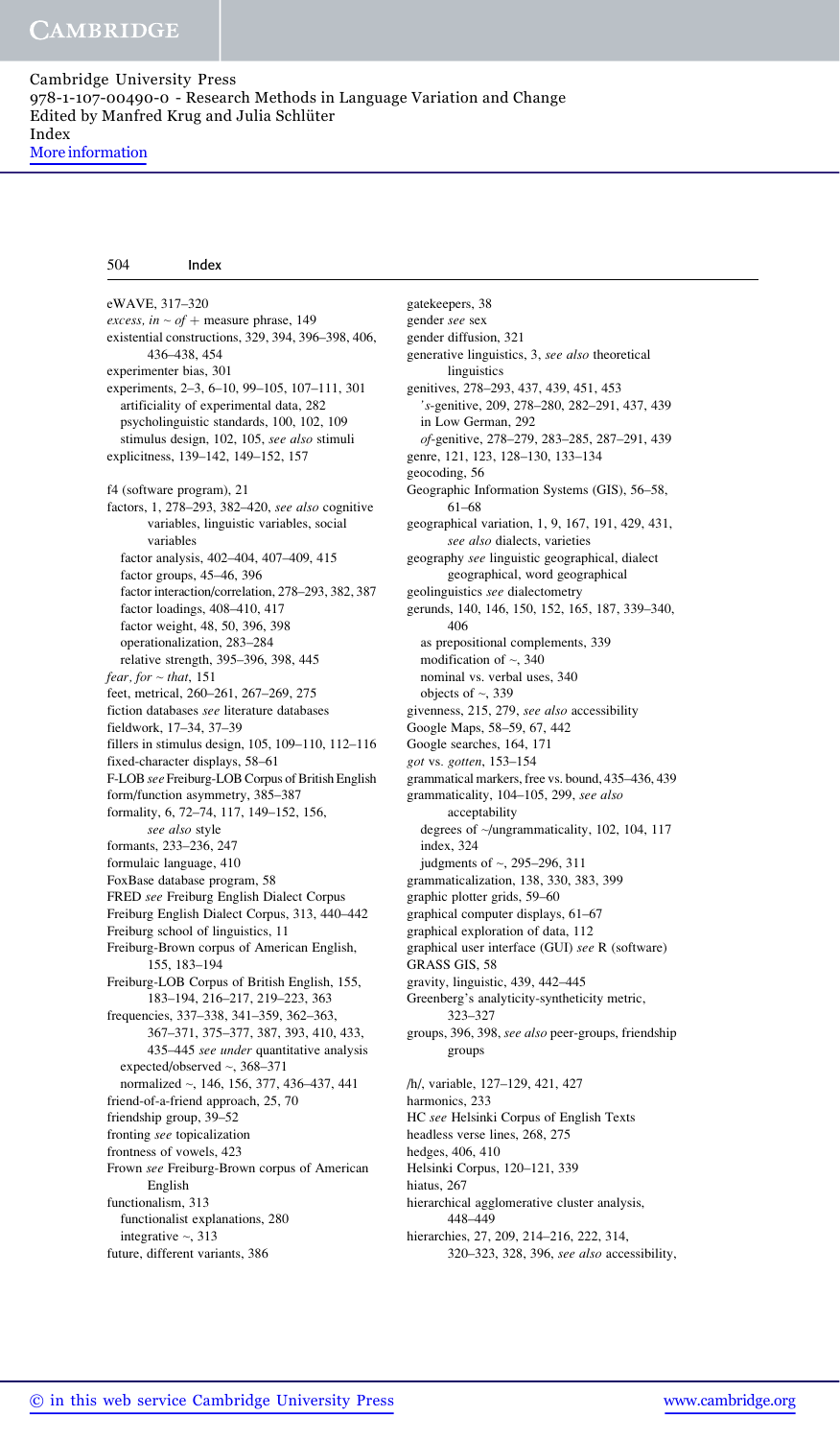eWAVE, 317–320 excess, in  $\sim$  of + measure phrase, 149 existential constructions, 329, 394, 396–398, 406, 436–438, 454 experimenter bias, 301 experiments, 2–3, 6–10, 99–105, 107–111, 301 artificiality of experimental data, 282 psycholinguistic standards, 100, 102, 109 stimulus design, 102, 105, see also stimuli explicitness, 139–142, 149–152, 157 f4 (software program), 21 factors, 1, 278–293, 382–420, see also cognitive variables, linguistic variables, social variables factor analysis, 402–404, 407–409, 415 factor groups, 45–46, 396 factor interaction/correlation, 278–293, 382, 387 factor loadings, 408–410, 417 factor weight, 48, 50, 396, 398 operationalization, 283–284 relative strength, 395–396, 398, 445  $fear, for ~$  that, 151 feet, metrical, 260–261, 267–269, 275 fiction databases see literature databases fieldwork, 17–34, 37–39 fillers in stimulus design, 105, 109–110, 112–116 fixed-character displays, 58–61 F-LOB see Freiburg-LOB Corpus of British English form/function asymmetry, 385–387 formality, 6, 72–74, 117, 149–152, 156, see also style formants, 233–236, 247 formulaic language, 410 FoxBase database program, 58 FRED see Freiburg English Dialect Corpus Freiburg English Dialect Corpus, 313, 440–442 Freiburg school of linguistics, 11 Freiburg-Brown corpus of American English, 155, 183–194 Freiburg-LOB Corpus of British English, 155, 183–194, 216–217, 219–223, 363 frequencies, 337–338, 341–359, 362–363, 367–371, 375–377, 387, 393, 410, 433, 435–445 see under quantitative analysis expected/observed ~, 368–371 normalized ~, 146, 156, 377, 436–437, 441 friend-of-a-friend approach, 25, 70 friendship group, 39–52 fronting see topicalization frontness of vowels, 423 Frown see Freiburg-Brown corpus of American English functionalism, 313 functionalist explanations, 280 integrative  $\sim$ , 313 future, different variants, 386

gatekeepers, 38 gender see sex gender diffusion, 321 generative linguistics, 3, see also theoretical linguistics genitives, 278–293, 437, 439, 451, 453 's-genitive, 209, 278–280, 282–291, 437, 439 in Low German, 292 of-genitive, 278–279, 283–285, 287–291, 439 genre, 121, 123, 128–130, 133–134 geocoding, 56 Geographic Information Systems (GIS), 56–58, 61–68 geographical variation, 1, 9, 167, 191, 429, 431, see also dialects, varieties geography see linguistic geographical, dialect geographical, word geographical geolinguistics see dialectometry gerunds, 140, 146, 150, 152, 165, 187, 339–340, 406 as prepositional complements, 339 modification of  $\sim$ , 340 nominal vs. verbal uses, 340 objects of  $\sim$ , 339 givenness, 215, 279, see also accessibility Google Maps, 58–59, 67, 442 Google searches, 164, 171 got vs. gotten, 153–154 grammatical markers, free vs. bound, 435–436, 439 grammaticality, 104–105, 299, see also acceptability degrees of ~/ungrammaticality, 102, 104, 117 index, 324 judgments of ~, 295–296, 311 grammaticalization, 138, 330, 383, 399 graphic plotter grids, 59–60 graphical computer displays, 61–67 graphical exploration of data, 112 graphical user interface (GUI) see R (software) GRASS GIS, 58 gravity, linguistic, 439, 442–445 Greenberg's analyticity-syntheticity metric, 323–327 groups, 396, 398, see also peer-groups, friendship groups /h/, variable, 127–129, 421, 427 harmonics, 233 HC see Helsinki Corpus of English Texts headless verse lines, 268, 275 hedges, 406, 410 Helsinki Corpus, 120–121, 339 hiatus, 267 hierarchical agglomerative cluster analysis, 448–449

hierarchies, 27, 209, 214–216, 222, 314, 320–323, 328, 396, see also accessibility,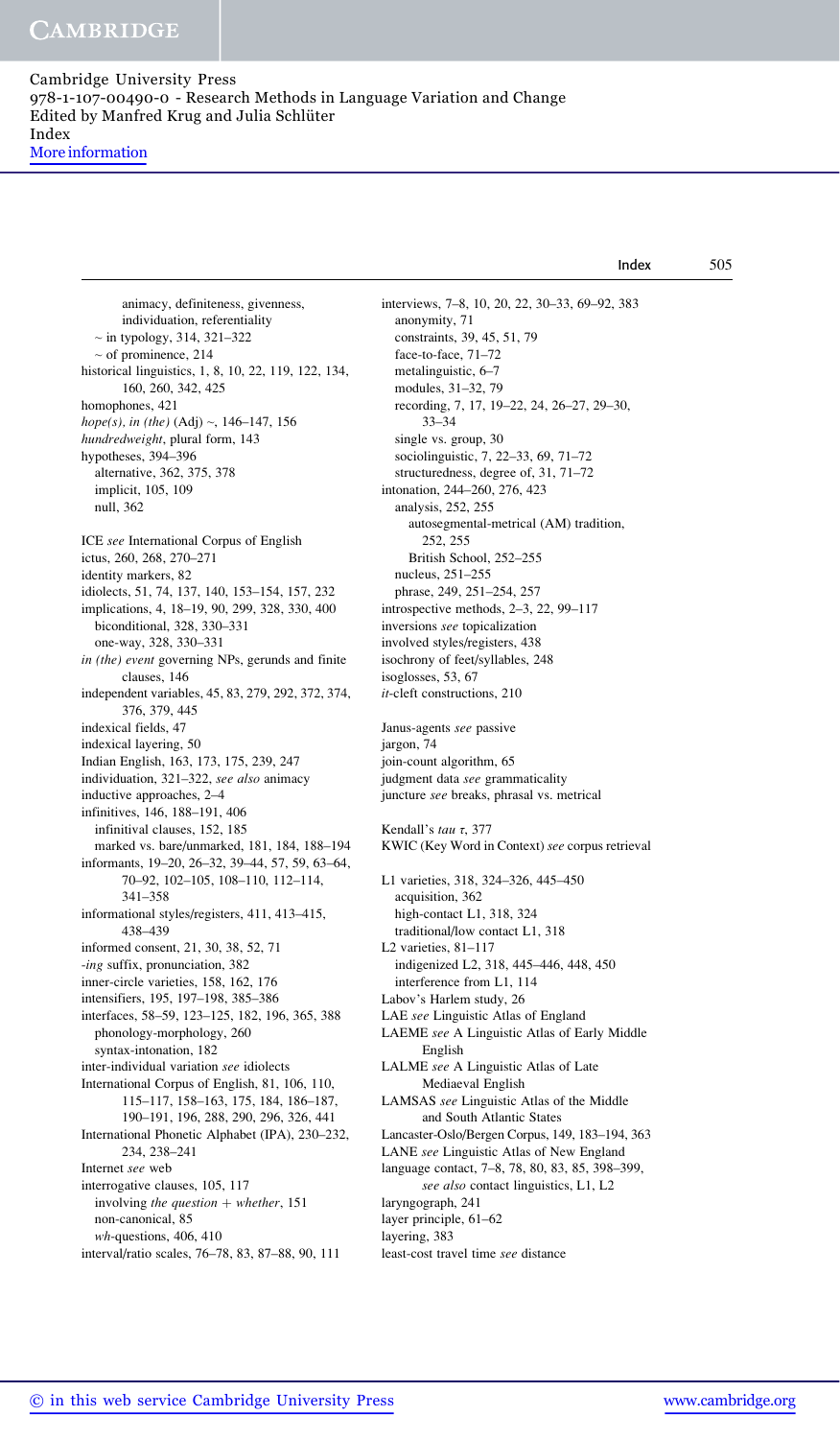Index 505

animacy, definiteness, givenness, individuation, referentiality  $\sim$  in typology, 314, 321–322 ~ of prominence, 214 historical linguistics, 1, 8, 10, 22, 119, 122, 134, 160, 260, 342, 425 homophones, 421 hope(s), in (the)  $(Adj) \sim$ , 146-147, 156 hundredweight, plural form, 143 hypotheses, 394–396 alternative, 362, 375, 378 implicit, 105, 109 null, 362 ICE see International Corpus of English ictus, 260, 268, 270–271 identity markers, 82 idiolects, 51, 74, 137, 140, 153–154, 157, 232 implications, 4, 18–19, 90, 299, 328, 330, 400 biconditional, 328, 330–331 one-way, 328, 330–331 in (the) event governing NPs, gerunds and finite clauses, 146 independent variables, 45, 83, 279, 292, 372, 374, 376, 379, 445 indexical fields, 47 indexical layering, 50 Indian English, 163, 173, 175, 239, 247 individuation, 321–322, see also animacy inductive approaches, 2–4 infinitives, 146, 188–191, 406 infinitival clauses, 152, 185 marked vs. bare/unmarked, 181, 184, 188–194 informants, 19–20, 26–32, 39–44, 57, 59, 63–64, 70–92, 102–105, 108–110, 112–114, 341–358 informational styles/registers, 411, 413–415, 438–439 informed consent, 21, 30, 38, 52, 71 -ing suffix, pronunciation, 382 inner-circle varieties, 158, 162, 176 intensifiers, 195, 197–198, 385–386 interfaces, 58–59, 123–125, 182, 196, 365, 388 phonology-morphology, 260 syntax-intonation, 182 inter-individual variation see idiolects International Corpus of English, 81, 106, 110, 115–117, 158–163, 175, 184, 186–187, 190–191, 196, 288, 290, 296, 326, 441 International Phonetic Alphabet (IPA), 230–232, 234, 238–241 Internet see web interrogative clauses, 105, 117 involving the question  $+$  whether, 151 non-canonical, 85 wh-questions, 406, 410 interval/ratio scales, 76–78, 83, 87–88, 90, 111

interviews, 7–8, 10, 20, 22, 30–33, 69–92, 383 anonymity, 71 constraints, 39, 45, 51, 79 face-to-face, 71–72 metalinguistic, 6–7 modules, 31–32, 79 recording, 7, 17, 19–22, 24, 26–27, 29–30, 33–34 single vs. group, 30 sociolinguistic, 7, 22–33, 69, 71–72 structuredness, degree of, 31, 71–72 intonation, 244–260, 276, 423 analysis, 252, 255 autosegmental-metrical (AM) tradition, 252, 255 British School, 252–255 nucleus, 251–255 phrase, 249, 251–254, 257 introspective methods, 2–3, 22, 99–117 inversions see topicalization involved styles/registers, 438 isochrony of feet/syllables, 248 isoglosses, 53, 67 it-cleft constructions, 210 Janus-agents see passive jargon, 74 join-count algorithm, 65 judgment data see grammaticality juncture see breaks, phrasal vs. metrical Kendall's tau τ, 377 KWIC (Key Word in Context) see corpus retrieval L1 varieties, 318, 324–326, 445–450 acquisition, 362 high-contact L1, 318, 324 traditional/low contact L1, 318 L2 varieties, 81–117 indigenized L2, 318, 445–446, 448, 450 interference from L1, 114 Labov's Harlem study, 26 LAE see Linguistic Atlas of England LAEME see A Linguistic Atlas of Early Middle English LALME see A Linguistic Atlas of Late Mediaeval English LAMSAS see Linguistic Atlas of the Middle and South Atlantic States Lancaster-Oslo/Bergen Corpus, 149, 183–194, 363 LANE see Linguistic Atlas of New England language contact, 7–8, 78, 80, 83, 85, 398–399, see also contact linguistics, L1, L2 laryngograph, 241

layer principle, 61–62

layering, 383

least-cost travel time see distance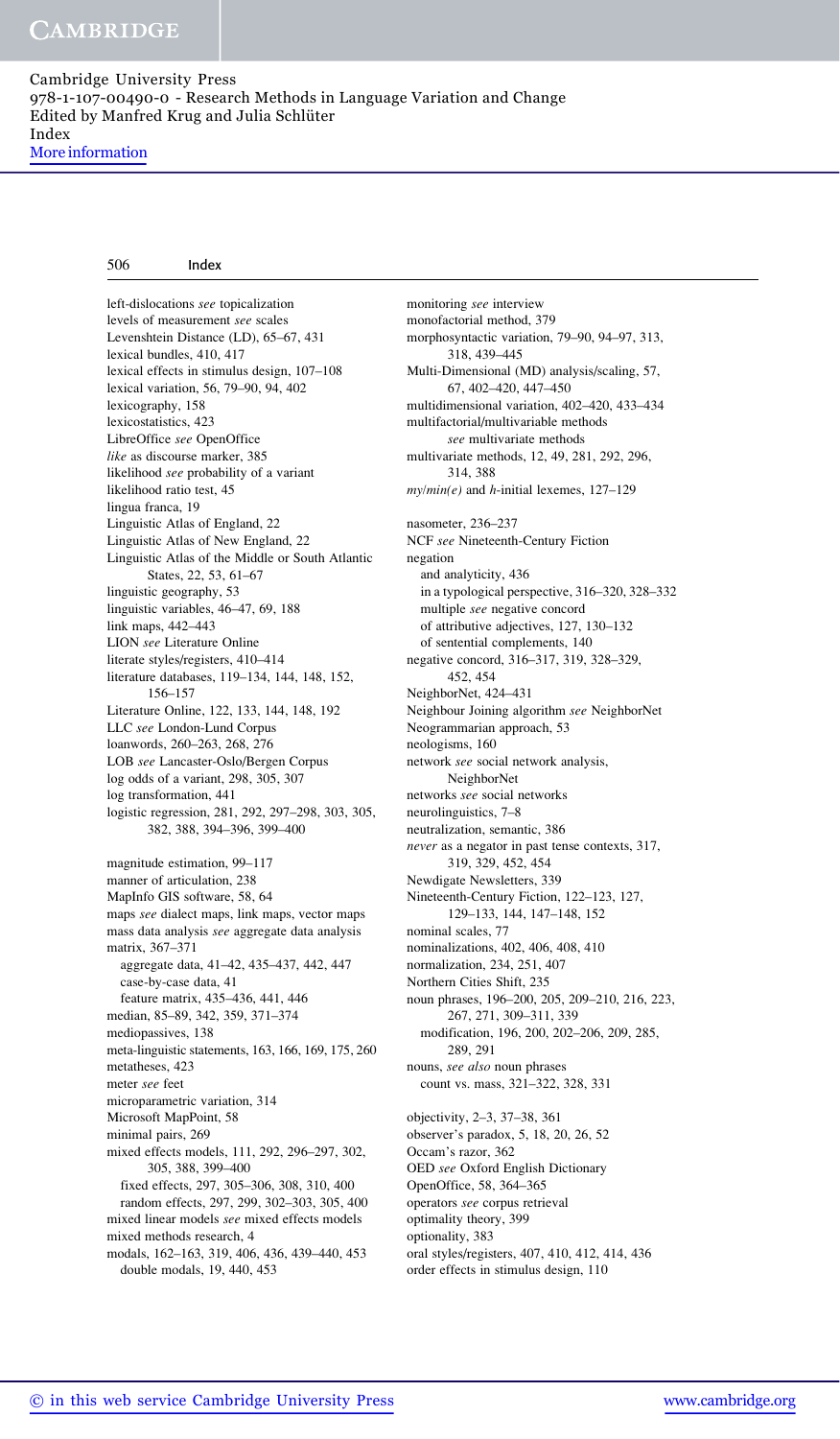More information

| 506 | Index |
|-----|-------|
|     |       |

left-dislocations see topicalization levels of measurement see scales Levenshtein Distance (LD), 65–67, 431 lexical bundles, 410, 417 lexical effects in stimulus design, 107–108 lexical variation, 56, 79–90, 94, 402 lexicography, 158 lexicostatistics, 423 LibreOffice see OpenOffice like as discourse marker, 385 likelihood see probability of a variant likelihood ratio test, 45 lingua franca, 19 Linguistic Atlas of England, 22 Linguistic Atlas of New England, 22 Linguistic Atlas of the Middle or South Atlantic States, 22, 53, 61–67 linguistic geography, 53 linguistic variables, 46–47, 69, 188 link maps, 442–443 LION see Literature Online literate styles/registers, 410–414 literature databases, 119–134, 144, 148, 152, 156–157 Literature Online, 122, 133, 144, 148, 192 LLC see London-Lund Corpus loanwords, 260–263, 268, 276 LOB see Lancaster-Oslo/Bergen Corpus log odds of a variant, 298, 305, 307 log transformation, 441 logistic regression, 281, 292, 297–298, 303, 305, 382, 388, 394–396, 399–400 magnitude estimation, 99–117 manner of articulation, 238 MapInfo GIS software, 58, 64 maps see dialect maps, link maps, vector maps mass data analysis see aggregate data analysis matrix, 367–371 aggregate data, 41–42, 435–437, 442, 447 case-by-case data, 41 feature matrix, 435–436, 441, 446 median, 85–89, 342, 359, 371–374 mediopassives, 138 meta-linguistic statements, 163, 166, 169, 175, 260 metatheses, 423 meter see feet microparametric variation, 314 Microsoft MapPoint, 58 minimal pairs, 269 mixed effects models, 111, 292, 296–297, 302, 305, 388, 399–400 fixed effects, 297, 305–306, 308, 310, 400 random effects, 297, 299, 302–303, 305, 400 mixed linear models see mixed effects models mixed methods research, 4 modals, 162–163, 319, 406, 436, 439–440, 453 double modals, 19, 440, 453

monitoring see interview monofactorial method, 379 morphosyntactic variation, 79–90, 94–97, 313, 318, 439–445 Multi-Dimensional (MD) analysis/scaling, 57, 67, 402–420, 447–450 multidimensional variation, 402–420, 433–434 multifactorial/multivariable methods see multivariate methods multivariate methods, 12, 49, 281, 292, 296, 314, 388  $my/min(e)$  and *h*-initial lexemes, 127–129 nasometer, 236–237 NCF see Nineteenth-Century Fiction negation and analyticity, 436 in a typological perspective, 316–320, 328–332 multiple see negative concord of attributive adjectives, 127, 130–132 of sentential complements, 140 negative concord, 316–317, 319, 328–329, 452, 454 NeighborNet, 424–431 Neighbour Joining algorithm see NeighborNet Neogrammarian approach, 53 neologisms, 160 network see social network analysis, NeighborNet networks see social networks neurolinguistics, 7–8 neutralization, semantic, 386 never as a negator in past tense contexts, 317, 319, 329, 452, 454 Newdigate Newsletters, 339 Nineteenth-Century Fiction, 122–123, 127, 129–133, 144, 147–148, 152 nominal scales, 77 nominalizations, 402, 406, 408, 410 normalization, 234, 251, 407 Northern Cities Shift, 235 noun phrases, 196–200, 205, 209–210, 216, 223, 267, 271, 309–311, 339 modification, 196, 200, 202–206, 209, 285, 289, 291 nouns, see also noun phrases count vs. mass, 321–322, 328, 331 objectivity, 2–3, 37–38, 361 observer's paradox, 5, 18, 20, 26, 52 Occam's razor, 362 OED see Oxford English Dictionary OpenOffice, 58, 364–365 operators see corpus retrieval optimality theory, 399 optionality, 383 oral styles/registers, 407, 410, 412, 414, 436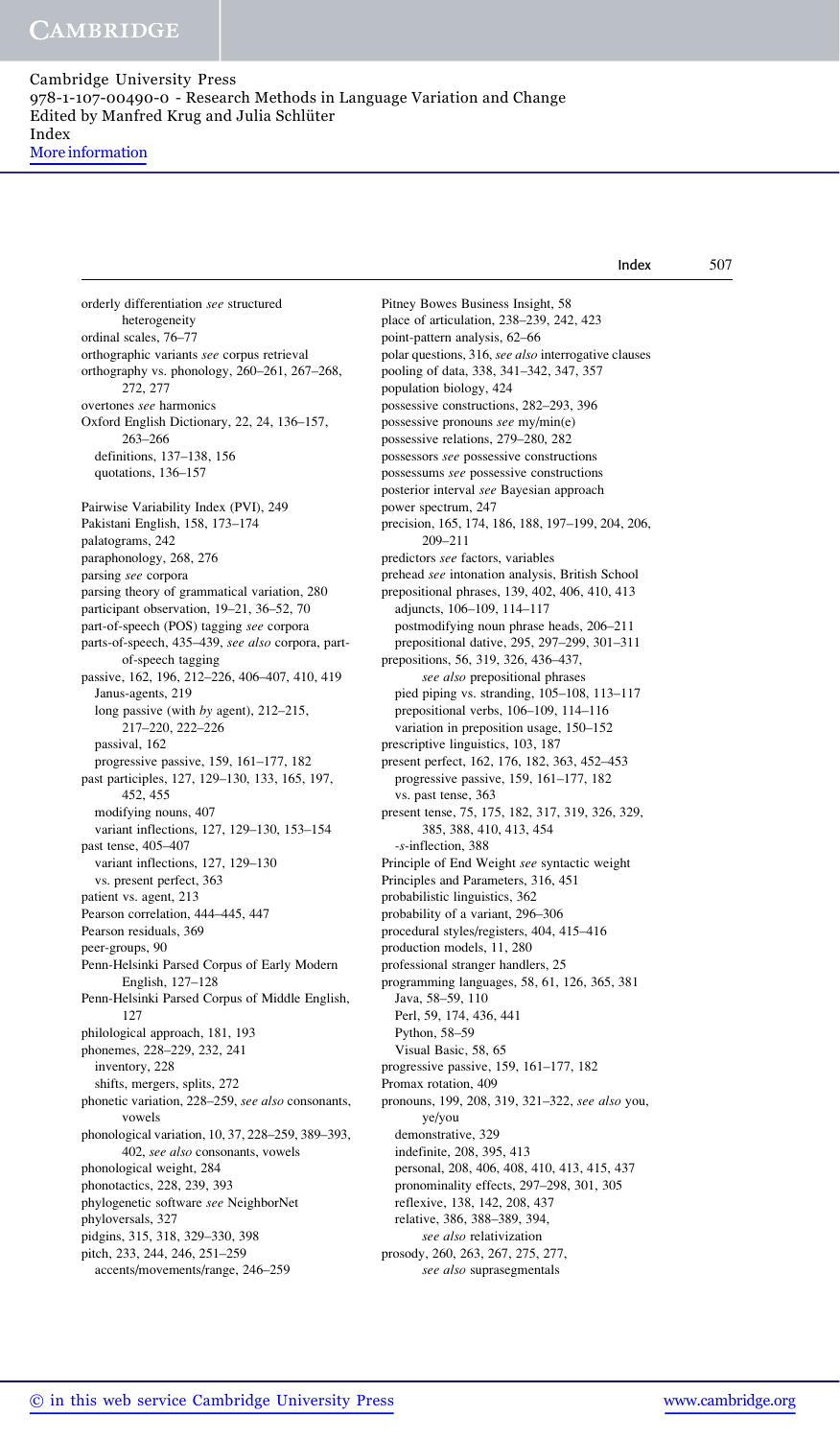More information

|                                                   | Index                                                | 507 |
|---------------------------------------------------|------------------------------------------------------|-----|
| orderly differentiation see structured            | Pitney Bowes Business Insight, 58                    |     |
| heterogeneity                                     | place of articulation, 238-239, 242, 423             |     |
| ordinal scales, 76-77                             | point-pattern analysis, 62-66                        |     |
| orthographic variants see corpus retrieval        | polar questions, 316, see also interrogative clauses |     |
| orthography vs. phonology, 260-261, 267-268,      | pooling of data, 338, 341-342, 347, 357              |     |
| 272, 277                                          | population biology, 424                              |     |
| overtones see harmonics                           | possessive constructions, 282-293, 396               |     |
| Oxford English Dictionary, 22, 24, 136-157,       | possessive pronouns see my/min(e)                    |     |
| $263 - 266$                                       | possessive relations, 279-280, 282                   |     |
| definitions, 137-138, 156                         | possessors see possessive constructions              |     |
| quotations, 136-157                               | possessums see possessive constructions              |     |
|                                                   | posterior interval see Bayesian approach             |     |
| Pairwise Variability Index (PVI), 249             | power spectrum, 247                                  |     |
|                                                   |                                                      |     |
| Pakistani English, 158, 173-174                   | precision, 165, 174, 186, 188, 197-199, 204, 206,    |     |
| palatograms, 242                                  | 209-211                                              |     |
| paraphonology, 268, 276                           | predictors see factors, variables                    |     |
| parsing see corpora                               | prehead see intonation analysis, British School      |     |
| parsing theory of grammatical variation, 280      | prepositional phrases, 139, 402, 406, 410, 413       |     |
| participant observation, 19-21, 36-52, 70         | adjuncts, 106-109, 114-117                           |     |
| part-of-speech (POS) tagging see corpora          | postmodifying noun phrase heads, 206–211             |     |
| parts-of-speech, 435-439, see also corpora, part- | prepositional dative, 295, 297-299, 301-311          |     |
| of-speech tagging                                 | prepositions, 56, 319, 326, 436-437,                 |     |
| passive, 162, 196, 212-226, 406-407, 410, 419     | see also prepositional phrases                       |     |
| Janus-agents, 219                                 | pied piping vs. stranding, 105-108, 113-117          |     |
| long passive (with by agent), $212-215$ ,         | prepositional verbs, 106-109, 114-116                |     |
| 217-220, 222-226                                  | variation in preposition usage, 150-152              |     |
| passival, 162                                     | prescriptive linguistics, 103, 187                   |     |
| progressive passive, $159$ , $161-177$ , $182$    | present perfect, 162, 176, 182, 363, 452–453         |     |
| past participles, 127, 129-130, 133, 165, 197,    | progressive passive, 159, 161-177, 182               |     |
| 452, 455                                          | vs. past tense, 363                                  |     |
| modifying nouns, 407                              | present tense, 75, 175, 182, 317, 319, 326, 329,     |     |
| variant inflections, 127, 129-130, 153-154        | 385, 388, 410, 413, 454                              |     |
| past tense, 405-407                               | -s-inflection, 388                                   |     |
| variant inflections, 127, 129-130                 | Principle of End Weight see syntactic weight         |     |
| vs. present perfect, 363                          | Principles and Parameters, 316, 451                  |     |
| patient vs. agent, 213                            | probabilistic linguistics, 362                       |     |
| Pearson correlation, 444-445, 447                 | probability of a variant, 296-306                    |     |
| Pearson residuals, 369                            | procedural styles/registers, 404, 415-416            |     |
| peer-groups, 90                                   | production models, 11, 280                           |     |
| Penn-Helsinki Parsed Corpus of Early Modern       | professional stranger handlers, 25                   |     |
| English, 127–128                                  | programming languages, 58, 61, 126, 365, 381         |     |
| Penn-Helsinki Parsed Corpus of Middle English,    | Java, 58-59, 110                                     |     |
| 127                                               | Perl, 59, 174, 436, 441                              |     |
| philological approach, 181, 193                   | Python, 58–59                                        |     |
| phonemes, 228-229, 232, 241                       | Visual Basic, 58, 65                                 |     |
| inventory, 228                                    | progressive passive, 159, 161-177, 182               |     |
| shifts, mergers, splits, 272                      | Promax rotation, 409                                 |     |
| phonetic variation, 228-259, see also consonants, | pronouns, 199, 208, 319, 321-322, see also you,      |     |
| vowels                                            | ye/you                                               |     |
| phonological variation, 10, 37, 228-259, 389-393, | demonstrative, 329                                   |     |
| 402, see also consonants, vowels                  | indefinite, 208, 395, 413                            |     |
| phonological weight, 284                          | personal, 208, 406, 408, 410, 413, 415, 437          |     |
| phonotactics, 228, 239, 393                       | pronominality effects, 297-298, 301, 305             |     |
|                                                   |                                                      |     |
| phylogenetic software see NeighborNet             | reflexive, 138, 142, 208, 437                        |     |
| phyloversals, 327                                 | relative, 386, 388-389, 394,                         |     |
| pidgins, 315, 318, 329-330, 398                   | see also relativization                              |     |
| pitch, 233, 244, 246, 251-259                     | prosody, 260, 263, 267, 275, 277,                    |     |
| accents/movements/range, 246-259                  | see also suprasegmentals                             |     |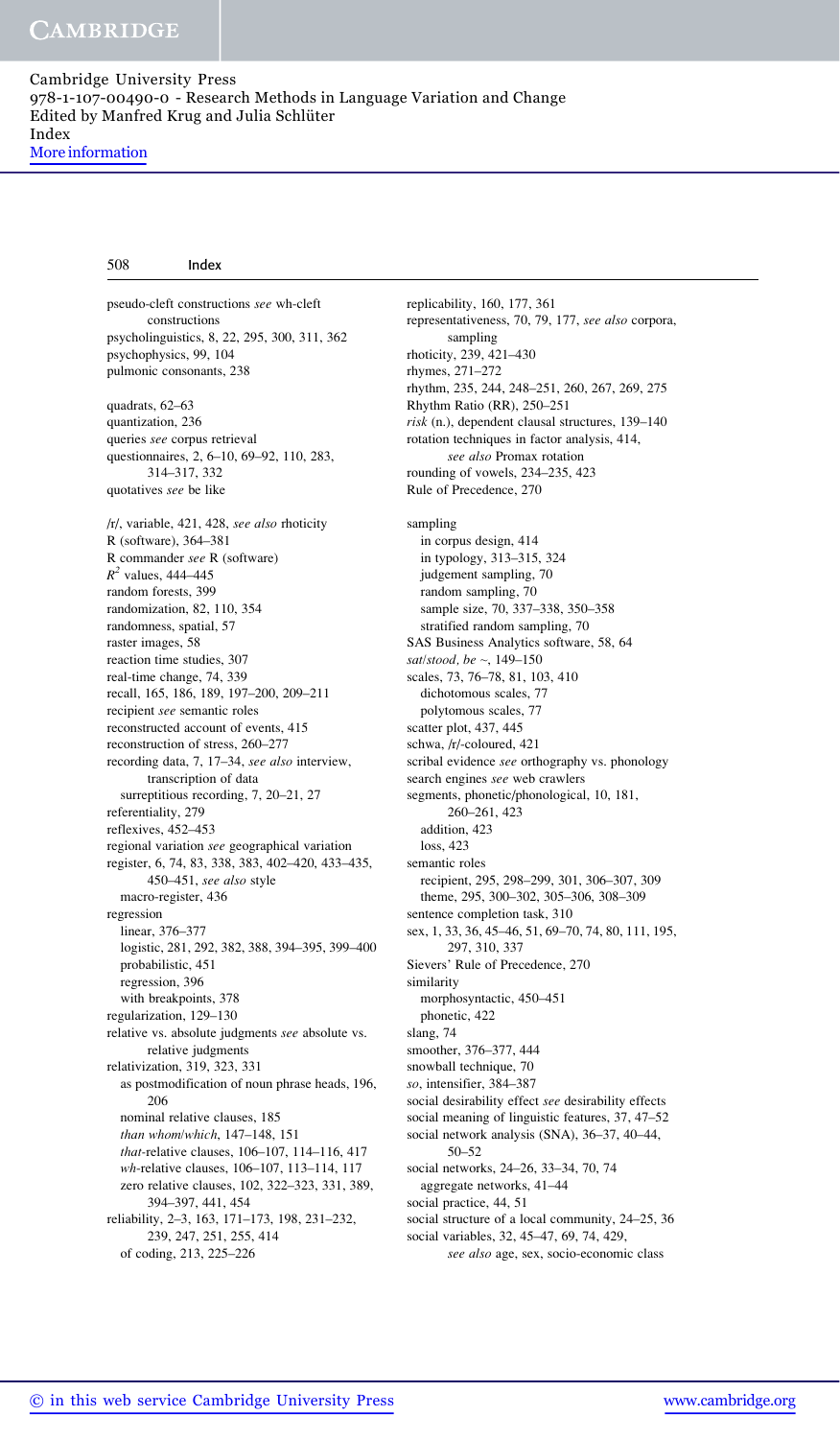pseudo-cleft constructions see wh-cleft constructions psycholinguistics, 8, 22, 295, 300, 311, 362 psychophysics, 99, 104 pulmonic consonants, 238 quadrats, 62–63 quantization, 236 queries see corpus retrieval questionnaires, 2, 6–10, 69–92, 110, 283, 314–317, 332 quotatives see be like /r/, variable, 421, 428, see also rhoticity R (software), 364–381 R commander see R (software)  $R^2$  values, 444–445 random forests, 399 randomization, 82, 110, 354 randomness, spatial, 57 raster images, 58 reaction time studies, 307 real-time change, 74, 339 recall, 165, 186, 189, 197–200, 209–211 recipient see semantic roles reconstructed account of events, 415 reconstruction of stress, 260–277 recording data, 7, 17–34, see also interview, transcription of data surreptitious recording, 7, 20–21, 27 referentiality, 279 reflexives, 452–453 regional variation see geographical variation register, 6, 74, 83, 338, 383, 402–420, 433–435, 450–451, see also style macro-register, 436 regression linear, 376–377 logistic, 281, 292, 382, 388, 394–395, 399–400 probabilistic, 451 regression, 396 with breakpoints, 378 regularization, 129–130 relative vs. absolute judgments see absolute vs. relative judgments relativization, 319, 323, 331 as postmodification of noun phrase heads, 196, 206 nominal relative clauses, 185 than whom/which, 147–148, 151 that-relative clauses, 106–107, 114–116, 417 wh-relative clauses, 106–107, 113–114, 117 zero relative clauses, 102, 322–323, 331, 389, 394–397, 441, 454 reliability, 2–3, 163, 171–173, 198, 231–232, 239, 247, 251, 255, 414 of coding, 213, 225–226

replicability, 160, 177, 361 representativeness, 70, 79, 177, see also corpora, sampling rhoticity, 239, 421–430 rhymes, 271–272 rhythm, 235, 244, 248–251, 260, 267, 269, 275 Rhythm Ratio (RR), 250–251 risk (n.), dependent clausal structures, 139–140 rotation techniques in factor analysis, 414, see also Promax rotation rounding of vowels, 234–235, 423 Rule of Precedence, 270 sampling in corpus design, 414 in typology, 313–315, 324 judgement sampling, 70 random sampling, 70 sample size, 70, 337–338, 350–358 stratified random sampling, 70 SAS Business Analytics software, 58, 64 sat/stood, be  $\sim$ , 149-150 scales, 73, 76–78, 81, 103, 410 dichotomous scales, 77 polytomous scales, 77 scatter plot, 437, 445 schwa, /r/-coloured, 421 scribal evidence see orthography vs. phonology search engines see web crawlers segments, phonetic/phonological, 10, 181, 260–261, 423 addition, 423  $loss$  423 semantic roles recipient, 295, 298–299, 301, 306–307, 309 theme, 295, 300–302, 305–306, 308–309 sentence completion task, 310 sex, 1, 33, 36, 45–46, 51, 69–70, 74, 80, 111, 195, 297, 310, 337 Sievers' Rule of Precedence, 270 similarity morphosyntactic, 450–451 phonetic, 422 slang, 74 smoother, 376–377, 444 snowball technique, 70 so, intensifier, 384–387 social desirability effect see desirability effects social meaning of linguistic features, 37, 47–52 social network analysis (SNA), 36–37, 40–44, 50–52 social networks, 24–26, 33–34, 70, 74 aggregate networks, 41–44 social practice, 44, 51 social structure of a local community, 24–25, 36 social variables, 32, 45–47, 69, 74, 429, see also age, sex, socio-economic class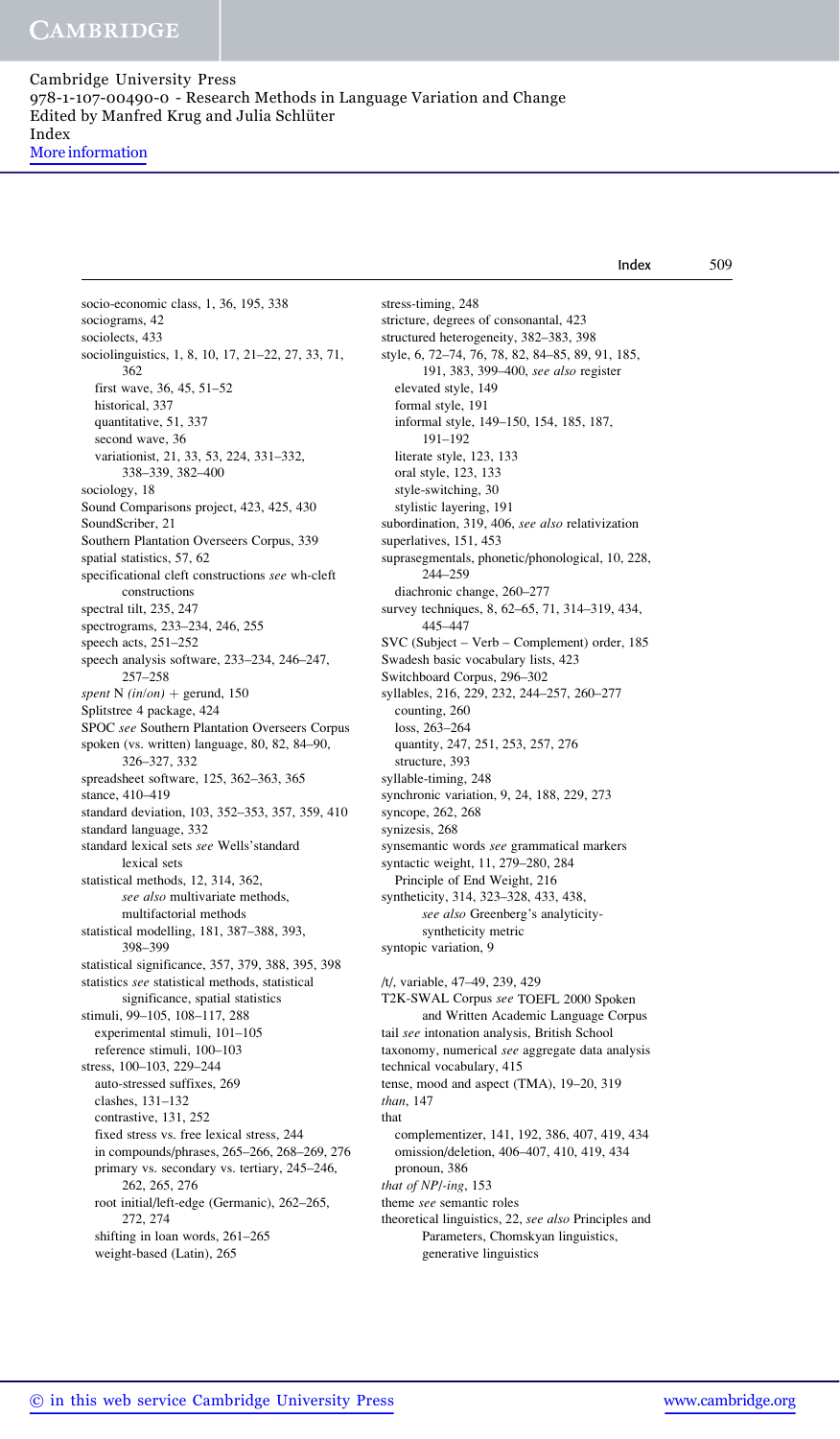More information

socio-economic class, 1, 36, 195, 338 sociograms, 42 sociolects, 433 sociolinguistics, 1, 8, 10, 17, 21–22, 27, 33, 71, 362 first wave, 36, 45, 51–52 historical, 337 quantitative, 51, 337 second wave, 36 variationist, 21, 33, 53, 224, 331–332, 338–339, 382–400 sociology, 18 Sound Comparisons project, 423, 425, 430 SoundScriber, 21 Southern Plantation Overseers Corpus, 339 spatial statistics, 57, 62 specificational cleft constructions see wh-cleft constructions spectral tilt, 235, 247 spectrograms, 233–234, 246, 255 speech acts, 251–252 speech analysis software, 233–234, 246–247, 257–258 spent N (in/on) + gerund, 150 Splitstree 4 package, 424 SPOC see Southern Plantation Overseers Corpus spoken (vs. written) language, 80, 82, 84–90, 326–327, 332 spreadsheet software, 125, 362–363, 365 stance, 410–419 standard deviation, 103, 352–353, 357, 359, 410 standard language, 332 standard lexical sets see Wells'standard lexical sets statistical methods, 12, 314, 362, see also multivariate methods, multifactorial methods statistical modelling, 181, 387–388, 393, 398–399 statistical significance, 357, 379, 388, 395, 398 statistics see statistical methods, statistical significance, spatial statistics stimuli, 99–105, 108–117, 288 experimental stimuli, 101–105 reference stimuli, 100–103 stress, 100–103, 229–244 auto-stressed suffixes, 269 clashes, 131–132 contrastive, 131, 252 fixed stress vs. free lexical stress, 244 in compounds/phrases, 265–266, 268–269, 276 primary vs. secondary vs. tertiary, 245–246, 262, 265, 276 root initial/left-edge (Germanic), 262–265, 272, 274 shifting in loan words, 261–265 weight-based (Latin), 265 stress-timing, 248 stricture, degrees of consonantal, 423 structured heterogeneity, 382–383, 398 style, 6, 72–74, 76, 78, 82, 84–85, 89, 91, 185, 191, 383, 399–400, see also register elevated style, 149 formal style, 191 informal style, 149–150, 154, 185, 187, 191–192 literate style, 123, 133 oral style, 123, 133 style-switching, 30 stylistic layering, 191 subordination, 319, 406, see also relativization superlatives, 151, 453 suprasegmentals, phonetic/phonological, 10, 228, 244–259 diachronic change, 260–277 survey techniques, 8, 62–65, 71, 314–319, 434, 445–447 SVC (Subject – Verb – Complement) order, 185 Swadesh basic vocabulary lists, 423 Switchboard Corpus, 296–302 syllables, 216, 229, 232, 244–257, 260–277 counting, 260 loss, 263–264 quantity, 247, 251, 253, 257, 276 structure, 393 syllable-timing, 248 synchronic variation, 9, 24, 188, 229, 273 syncope, 262, 268 synizesis, 268 synsemantic words see grammatical markers syntactic weight, 11, 279–280, 284 Principle of End Weight, 216 syntheticity, 314, 323–328, 433, 438, see also Greenberg's analyticitysyntheticity metric syntopic variation, 9 /t/, variable, 47–49, 239, 429 T2K-SWAL Corpus see TOEFL 2000 Spoken and Written Academic Language Corpus tail see intonation analysis, British School taxonomy, numerical see aggregate data analysis technical vocabulary, 415 tense, mood and aspect (TMA), 19–20, 319 than, 147 that complementizer, 141, 192, 386, 407, 419, 434 omission/deletion, 406–407, 410, 419, 434 pronoun, 386 that of NP/-ing, 153 theme see semantic roles theoretical linguistics, 22, see also Principles and Parameters, Chomskyan linguistics, generative linguistics Index 509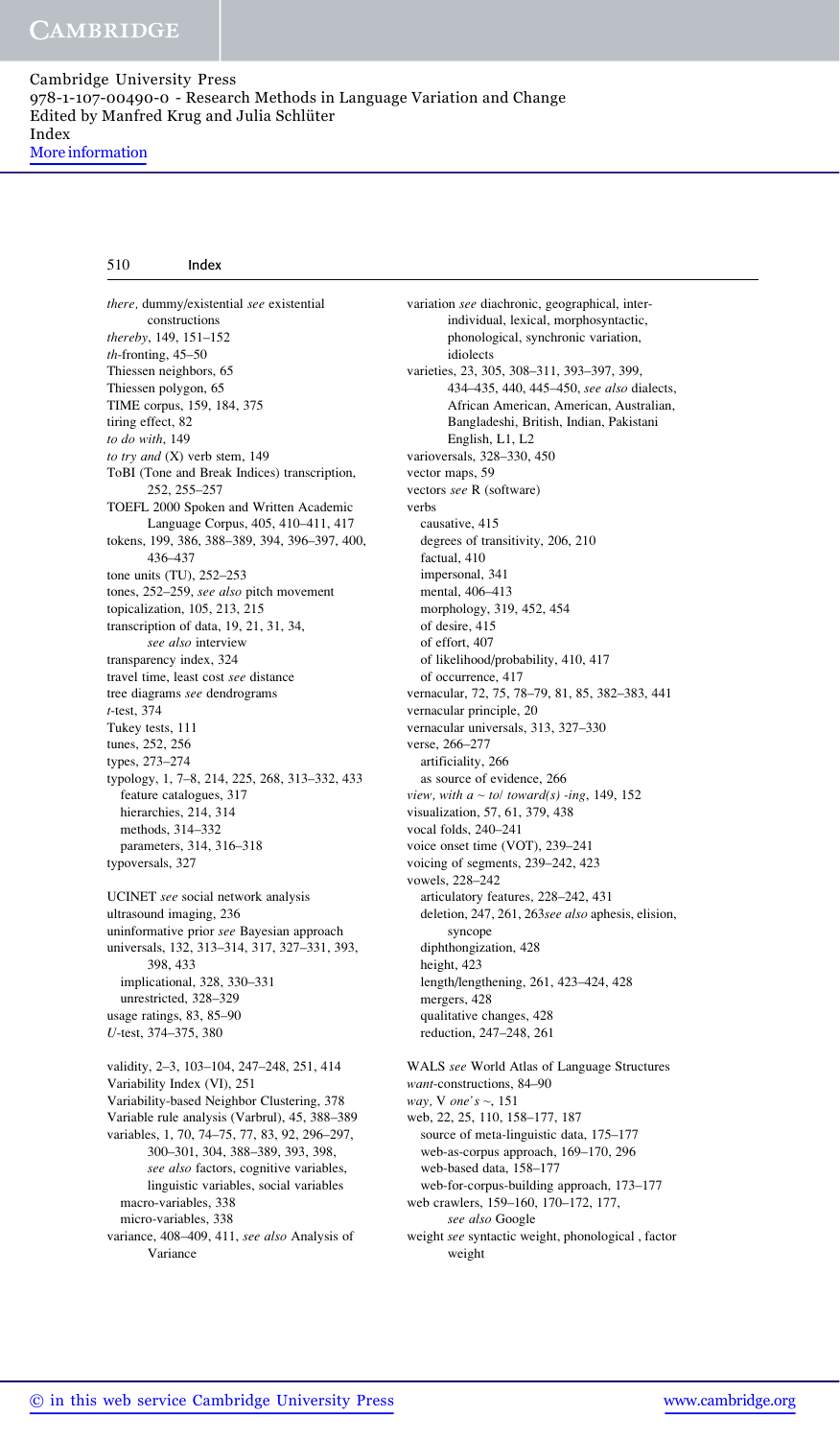there, dummy/existential see existential constructions thereby, 149, 151–152 th-fronting, 45–50 Thiessen neighbors, 65 Thiessen polygon, 65 TIME corpus, 159, 184, 375 tiring effect, 82 to do with, 149 to try and (X) verb stem, 149 ToBI (Tone and Break Indices) transcription, 252, 255–257 TOEFL 2000 Spoken and Written Academic Language Corpus, 405, 410–411, 417 tokens, 199, 386, 388–389, 394, 396–397, 400, 436–437 tone units (TU), 252–253 tones, 252–259, see also pitch movement topicalization, 105, 213, 215 transcription of data, 19, 21, 31, 34, see also interview transparency index, 324 travel time, least cost see distance tree diagrams see dendrograms t-test, 374 Tukey tests, 111 tunes, 252, 256 types, 273–274 typology, 1, 7–8, 214, 225, 268, 313–332, 433 feature catalogues, 317 hierarchies, 214, 314 methods, 314–332 parameters, 314, 316–318 typoversals, 327 UCINET see social network analysis ultrasound imaging, 236 uninformative prior see Bayesian approach universals, 132, 313–314, 317, 327–331, 393,

398, 433 implicational, 328, 330–331 unrestricted, 328–329 usage ratings, 83, 85–90 U-test, 374–375, 380

validity, 2–3, 103–104, 247–248, 251, 414 Variability Index (VI), 251 Variability-based Neighbor Clustering, 378 Variable rule analysis (Varbrul), 45, 388–389 variables, 1, 70, 74–75, 77, 83, 92, 296–297, 300–301, 304, 388–389, 393, 398, see also factors, cognitive variables, linguistic variables, social variables macro-variables, 338 micro-variables, 338 variance, 408–409, 411, see also Analysis of Variance

variation see diachronic, geographical, interindividual, lexical, morphosyntactic, phonological, synchronic variation, idiolects varieties, 23, 305, 308–311, 393–397, 399, 434–435, 440, 445–450, see also dialects, African American, American, Australian, Bangladeshi, British, Indian, Pakistani English, L1, L2 varioversals, 328–330, 450 vector maps, 59 vectors see R (software) verbs causative, 415 degrees of transitivity, 206, 210 factual, 410 impersonal, 341 mental, 406–413 morphology, 319, 452, 454 of desire, 415 of effort, 407 of likelihood/probability, 410, 417 of occurrence, 417 vernacular, 72, 75, 78–79, 81, 85, 382–383, 441 vernacular principle, 20 vernacular universals, 313, 327–330 verse, 266–277 artificiality, 266 as source of evidence, 266 view, with  $a \sim tol$  toward(s) -ing, 149, 152 visualization, 57, 61, 379, 438 vocal folds, 240–241 voice onset time (VOT), 239–241 voicing of segments, 239–242, 423 vowels, 228–242 articulatory features, 228–242, 431 deletion, 247, 261, 263see also aphesis, elision, syncope diphthongization, 428 height, 423 length/lengthening, 261, 423–424, 428 mergers, 428 qualitative changes, 428 reduction, 247–248, 261 WALS see World Atlas of Language Structures want-constructions, 84–90 way, V one's  $\sim$ , 151 web, 22, 25, 110, 158–177, 187 source of meta-linguistic data, 175–177 web-as-corpus approach, 169–170, 296

web-based data, 158–177 web-for-corpus-building approach, 173–177 web crawlers, 159–160, 170–172, 177, see also Google

weight see syntactic weight, phonological , factor weight